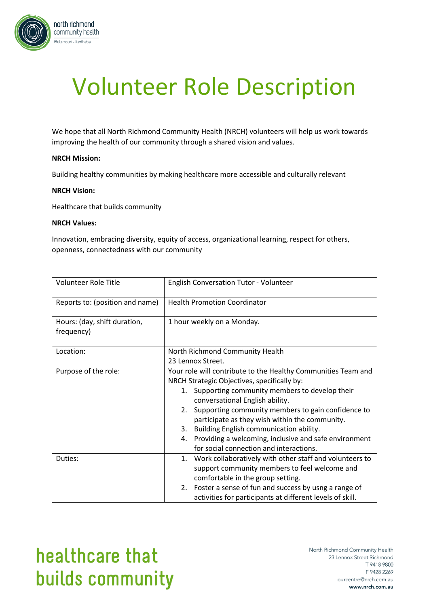

# Volunteer Role Description

We hope that all North Richmond Community Health (NRCH) volunteers will help us work towards improving the health of our community through a shared vision and values.

### **NRCH Mission:**

Building healthy communities by making healthcare more accessible and culturally relevant

#### **NRCH Vision:**

Healthcare that builds community

#### **NRCH Values:**

Innovation, embracing diversity, equity of access, organizational learning, respect for others, openness, connectedness with our community

| Volunteer Role Title                       | <b>English Conversation Tutor - Volunteer</b>                 |
|--------------------------------------------|---------------------------------------------------------------|
| Reports to: (position and name)            | <b>Health Promotion Coordinator</b>                           |
| Hours: (day, shift duration,<br>frequency) | 1 hour weekly on a Monday.                                    |
| Location:                                  | North Richmond Community Health                               |
|                                            | 23 Lennox Street.                                             |
| Purpose of the role:                       | Your role will contribute to the Healthy Communities Team and |
|                                            | NRCH Strategic Objectives, specifically by:                   |
|                                            | Supporting community members to develop their<br>1.           |
|                                            | conversational English ability.                               |
|                                            | Supporting community members to gain confidence to<br>2.      |
|                                            | participate as they wish within the community.                |
|                                            | Building English communication ability.<br>3.                 |
|                                            | Providing a welcoming, inclusive and safe environment<br>4.   |
|                                            | for social connection and interactions.                       |
| Duties:                                    | Work collaboratively with other staff and volunteers to<br>1. |
|                                            | support community members to feel welcome and                 |
|                                            | comfortable in the group setting.                             |
|                                            | 2. Foster a sense of fun and success by usng a range of       |
|                                            | activities for participants at different levels of skill.     |

## healthcare that builds community

North Richmond Community Health 23 Lennox Street Richmond T 9418 9800 F 9428 2269 ourcentre@nrch.com.au www.nrch.com.au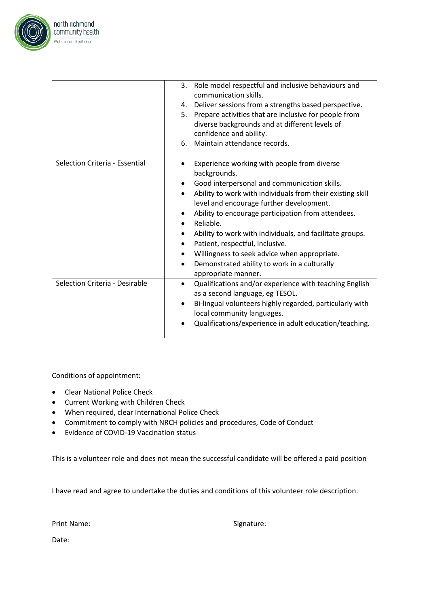

|                                | 3.<br>Role model respectful and inclusive behaviours and<br>communication skills. |
|--------------------------------|-----------------------------------------------------------------------------------|
|                                | 4. Deliver sessions from a strengths based perspective.                           |
|                                |                                                                                   |
|                                | Prepare activities that are inclusive for people from<br>5.                       |
|                                | diverse backgrounds and at different levels of                                    |
|                                | confidence and ability.                                                           |
|                                | Maintain attendance records.<br>6.                                                |
| Selection Criteria - Essential | Experience working with people from diverse<br>٠                                  |
|                                | backgrounds.                                                                      |
|                                | Good interpersonal and communication skills.                                      |
|                                | Ability to work with individuals from their existing skill<br>$\bullet$           |
|                                | level and encourage further development.                                          |
|                                | Ability to encourage participation from attendees.                                |
|                                | Reliable.<br>$\bullet$                                                            |
|                                | Ability to work with individuals, and facilitate groups.                          |
|                                | Patient, respectful, inclusive.<br>$\bullet$                                      |
|                                | Willingness to seek advice when appropriate.<br>٠                                 |
|                                | Demonstrated ability to work in a culturally<br>$\bullet$                         |
|                                | appropriate manner.                                                               |
| Selection Criteria - Desirable |                                                                                   |
|                                | Qualifications and/or experience with teaching English<br>$\bullet$               |
|                                | as a second language, eg TESOL.                                                   |
|                                | Bi-lingual volunteers highly regarded, particularly with<br>$\bullet$             |
|                                | local community languages.                                                        |
|                                | Qualifications/experience in adult education/teaching.                            |
|                                |                                                                                   |

Conditions of appointment:

- Clear National Police Check
- Current Working with Children Check
- When required, clear International Police Check
- Commitment to comply with NRCH policies and procedures, Code of Conduct
- Evidence of COVID-19 Vaccination status

This is a volunteer role and does not mean the successful candidate will be offered a paid position

I have read and agree to undertake the duties and conditions of this volunteer role description.

Print Name: Signature: Signature:

Date: